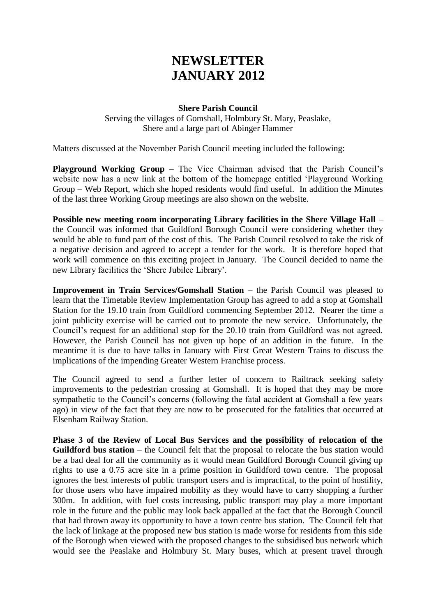# **NEWSLETTER JANUARY 2012**

#### **Shere Parish Council**

Serving the villages of Gomshall, Holmbury St. Mary, Peaslake, Shere and a large part of Abinger Hammer

Matters discussed at the November Parish Council meeting included the following:

**Playground Working Group –** The Vice Chairman advised that the Parish Council's website now has a new link at the bottom of the homepage entitled 'Playground Working Group – Web Report, which she hoped residents would find useful. In addition the Minutes of the last three Working Group meetings are also shown on the website.

**Possible new meeting room incorporating Library facilities in the Shere Village Hall** – the Council was informed that Guildford Borough Council were considering whether they would be able to fund part of the cost of this. The Parish Council resolved to take the risk of a negative decision and agreed to accept a tender for the work. It is therefore hoped that work will commence on this exciting project in January. The Council decided to name the new Library facilities the 'Shere Jubilee Library'.

**Improvement in Train Services/Gomshall Station** – the Parish Council was pleased to learn that the Timetable Review Implementation Group has agreed to add a stop at Gomshall Station for the 19.10 train from Guildford commencing September 2012. Nearer the time a joint publicity exercise will be carried out to promote the new service. Unfortunately, the Council's request for an additional stop for the 20.10 train from Guildford was not agreed. However, the Parish Council has not given up hope of an addition in the future. In the meantime it is due to have talks in January with First Great Western Trains to discuss the implications of the impending Greater Western Franchise process.

The Council agreed to send a further letter of concern to Railtrack seeking safety improvements to the pedestrian crossing at Gomshall. It is hoped that they may be more sympathetic to the Council's concerns (following the fatal accident at Gomshall a few years ago) in view of the fact that they are now to be prosecuted for the fatalities that occurred at Elsenham Railway Station.

**Phase 3 of the Review of Local Bus Services and the possibility of relocation of the Guildford bus station** – the Council felt that the proposal to relocate the bus station would be a bad deal for all the community as it would mean Guildford Borough Council giving up rights to use a 0.75 acre site in a prime position in Guildford town centre. The proposal ignores the best interests of public transport users and is impractical, to the point of hostility, for those users who have impaired mobility as they would have to carry shopping a further 300m. In addition, with fuel costs increasing, public transport may play a more important role in the future and the public may look back appalled at the fact that the Borough Council that had thrown away its opportunity to have a town centre bus station. The Council felt that the lack of linkage at the proposed new bus station is made worse for residents from this side of the Borough when viewed with the proposed changes to the subsidised bus network which would see the Peaslake and Holmbury St. Mary buses, which at present travel through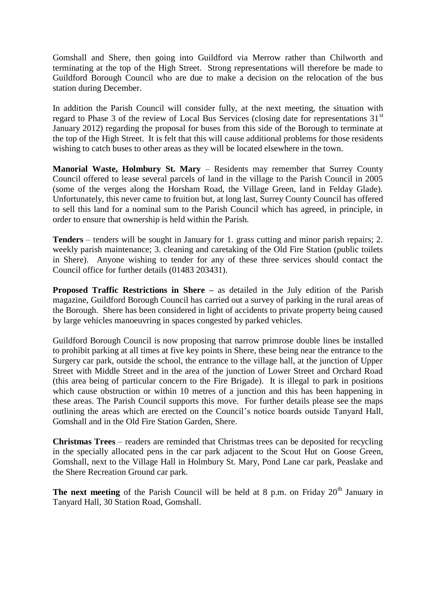Gomshall and Shere, then going into Guildford via Merrow rather than Chilworth and terminating at the top of the High Street. Strong representations will therefore be made to Guildford Borough Council who are due to make a decision on the relocation of the bus station during December.

In addition the Parish Council will consider fully, at the next meeting, the situation with regard to Phase 3 of the review of Local Bus Services (closing date for representations  $31<sup>st</sup>$ January 2012) regarding the proposal for buses from this side of the Borough to terminate at the top of the High Street. It is felt that this will cause additional problems for those residents wishing to catch buses to other areas as they will be located elsewhere in the town.

**Manorial Waste, Holmbury St. Mary** – Residents may remember that Surrey County Council offered to lease several parcels of land in the village to the Parish Council in 2005 (some of the verges along the Horsham Road, the Village Green, land in Felday Glade). Unfortunately, this never came to fruition but, at long last, Surrey County Council has offered to sell this land for a nominal sum to the Parish Council which has agreed, in principle, in order to ensure that ownership is held within the Parish.

**Tenders** – tenders will be sought in January for 1. grass cutting and minor parish repairs; 2. weekly parish maintenance; 3. cleaning and caretaking of the Old Fire Station (public toilets in Shere). Anyone wishing to tender for any of these three services should contact the Council office for further details (01483 203431).

**Proposed Traffic Restrictions in Shere –** as detailed in the July edition of the Parish magazine, Guildford Borough Council has carried out a survey of parking in the rural areas of the Borough. Shere has been considered in light of accidents to private property being caused by large vehicles manoeuvring in spaces congested by parked vehicles.

Guildford Borough Council is now proposing that narrow primrose double lines be installed to prohibit parking at all times at five key points in Shere, these being near the entrance to the Surgery car park, outside the school, the entrance to the village hall, at the junction of Upper Street with Middle Street and in the area of the junction of Lower Street and Orchard Road (this area being of particular concern to the Fire Brigade). It is illegal to park in positions which cause obstruction or within 10 metres of a junction and this has been happening in these areas. The Parish Council supports this move. For further details please see the maps outlining the areas which are erected on the Council's notice boards outside Tanyard Hall, Gomshall and in the Old Fire Station Garden, Shere.

**Christmas Trees** – readers are reminded that Christmas trees can be deposited for recycling in the specially allocated pens in the car park adjacent to the Scout Hut on Goose Green, Gomshall, next to the Village Hall in Holmbury St. Mary, Pond Lane car park, Peaslake and the Shere Recreation Ground car park.

**The next meeting** of the Parish Council will be held at 8 p.m. on Friday  $20<sup>th</sup>$  January in Tanyard Hall, 30 Station Road, Gomshall.